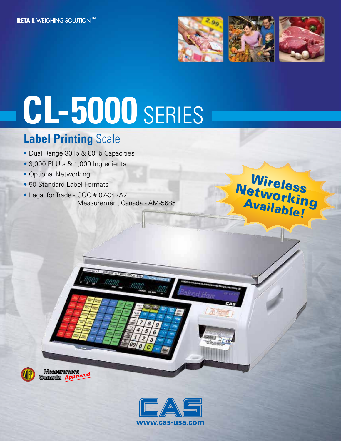

Wireless

Networking<br>Availahu : 9

Available!

# **CL-5000** SERIES

## **Label Printing** Scale

- Dual Range 30 lb & 60 lb Capacities
- 3,000 PLU's & 1,000 Ingredients
- Optional Networking
- 50 Standard Label Formats
- Legal for Trade COC # 07-042A2 Measurement Canada - AM-5685



**Measurement** Ganada App



ked Ham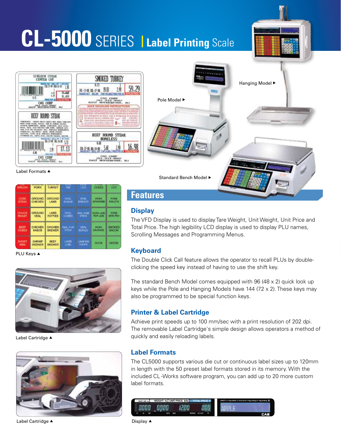## **CL-5000** SERIES **<sup>|</sup> Label Printing** Scale





## Label Formats A

| 9891101N             | <b>FORK</b>             | <b>TURKEY</b>         | 725<br>RIB      | --<br>LEG.               | CUBES           | <b>LED</b>    |
|----------------------|-------------------------|-----------------------|-----------------|--------------------------|-----------------|---------------|
| <b>OUBE</b>          | <b>GROUND</b>           | <b>GROUND</b>         | <b>VEAL</b>     | VEAL                     | <b>PORK</b>     | <b>PORK</b>   |
| <b><i>STEAK</i></b>  | CHICKEN                 | LAMB                  | SHANK           | EREATT                   | <b>SPARERIS</b> | 网络儿医节组        |
| <b>CHUCK</b>         | <b>GROUND</b>           | LAMB                  | <b>VEAL</b>     | <b>VERLICUBE!</b>        | <b>PORK LOW</b> | <b>DORE</b>   |
| ROAST                | <b>VEAL</b>             | <b>PATTIES</b>        | <b>CUBES</b>    | <b>STEAK</b>             | <b>TOP LOW</b>  | <b>THEFT</b>  |
| BEEF                 | CHICKEN                 | <b>CHICKEN</b>        | <b>VEAL FOR</b> | <b>VEAL</b>              | <b>FIGHTS</b>   | <b>EMONED</b> |
| <b>CUBES</b>         | <b>KASOB</b>            | <b>SKEWER</b>         | <b>ETEW</b>     | <b>BONES</b>             | <b>BALIRAGE</b> | <b>BACON</b>  |
| SHORT<br><b>RIBS</b> | SHRIMP<br><b>SKEWER</b> | BEEF<br><b>SKEWER</b> | 1,4889<br>LOBI  | LAMB RID<br><b>CHOPS</b> | <b>DUCK</b>     | 医毛毛毛          |

**PLU Keys ▲** 



Label Cartridge ▲



Label Cartridge  $\blacktriangle$  Display  $\blacktriangle$ 

**Features**

## **Display**

The VFD Display is used to display Tare Weight, Unit Weight, Unit Price and Total Price. The high legibility LCD display is used to display PLU names, Scrolling Messages and Programming Menus.

## **Keyboard**

The Double Click Call feature allows the operator to recall PLUs by doubleclicking the speed key instead of having to use the shift key.

The standard Bench Model comes equipped with 96 (48 x 2) quick look up keys while the Pole and Hanging Models have 144 (72 x 2). These keys may also be programmed to be special function keys.

## **Printer & Label Cartridge**

Achieve print speeds up to 100 mm/sec with a print resolution of 202 dpi. The removable Label Cartridge's simple design allows operators a method of quickly and easily reloading labels.

## **Label Formats**

The CL5000 supports various die cut or continuous label sizes up to 120mm in length with the 50 preset label formats stored in its memory. With the included CL -Works software program, you can add up to 20 more custom label formats.

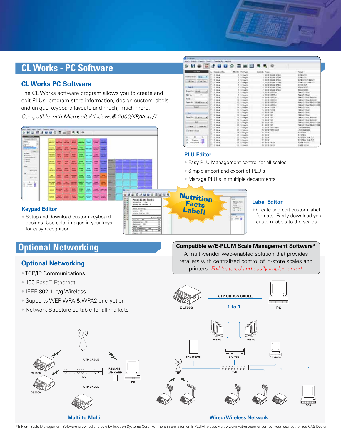## **CL Works - PC Software**

## **CL Works PC Software**

The CL Works software program allows you to create and edit PLUs, program store information, design custom labels and unique keyboard layouts and much, much more.

Compatible with Microsoft Windows® 2000/XP/Vista/7

| --<br><b>Course Model</b><br><b>All Contract Contract</b><br>تستغل<br><b>Courses</b><br>a.<br>疆<br>822<br><b>MAILER STATES</b><br>112, 141<br><b>Adult Ford</b><br>--<br>---<br>140-041<br>55,688<br><b>Alberta</b><br><b>With Sec</b><br>١æ<br>an to<br><b>THEFT &amp;</b><br><b>MAGARET</b><br><b>Jacks</b><br><b>America</b><br><b><i><u><u>Property</u></u></i></b><br>-<br><b>Service</b><br>٠<br>-<br><b>MONEY</b><br><b>A 290</b><br>تعاصبنا<br>100<br>100/07/9<br><b>STATISTICS</b><br><b>SIDNA</b><br><b>County</b><br>--<br>w<br><b>HOLD</b><br><b>Additional Property</b><br>$\overline{\phantom{a}}$<br>LW.<br><b>DALINER</b><br><b>MA X246</b><br><b>COMMERCIAL</b><br><b><i>ANGEL CLAMBER</i></b><br><b>All Avenue</b><br><b>Schlossen</b><br>4.<br>-<br><br>Link &<br>÷<br>---<br><b>Primary</b><br>19896<br><b><i><u>Ingelsen</u></i></b><br>artists 10<br>-<br>--<br>-<br>100.4<br>وصبح<br><b>START</b><br><b>British</b><br><b>TORY CARRY CONSUM MOST</b> | <b>NAMES</b> EQUIPS<br>$-1$<br>Initiative                                  | <b><i><u>ETABLISHER</u></i></b><br>444,417 |  | 踢 | وستعبث | <b>Jan. 1 00108</b><br>$-1$ |  |  |  |  |
|-----------------------------------------------------------------------------------------------------------------------------------------------------------------------------------------------------------------------------------------------------------------------------------------------------------------------------------------------------------------------------------------------------------------------------------------------------------------------------------------------------------------------------------------------------------------------------------------------------------------------------------------------------------------------------------------------------------------------------------------------------------------------------------------------------------------------------------------------------------------------------------------------------------------------------------------------------------------------------|----------------------------------------------------------------------------|--------------------------------------------|--|---|--------|-----------------------------|--|--|--|--|
|                                                                                                                                                                                                                                                                                                                                                                                                                                                                                                                                                                                                                                                                                                                                                                                                                                                                                                                                                                             | <b>SAUDE AT</b><br>m.m.<br><b>PATTERNS</b>                                 |                                            |  |   |        |                             |  |  |  |  |
|                                                                                                                                                                                                                                                                                                                                                                                                                                                                                                                                                                                                                                                                                                                                                                                                                                                                                                                                                                             | <b><i><u>Programment</u></i></b><br><b>Cancell</b><br><b>Selection Ave</b> |                                            |  |   |        |                             |  |  |  |  |
|                                                                                                                                                                                                                                                                                                                                                                                                                                                                                                                                                                                                                                                                                                                                                                                                                                                                                                                                                                             | --<br>Telephone                                                            |                                            |  |   |        |                             |  |  |  |  |
|                                                                                                                                                                                                                                                                                                                                                                                                                                                                                                                                                                                                                                                                                                                                                                                                                                                                                                                                                                             |                                                                            |                                            |  |   |        |                             |  |  |  |  |
|                                                                                                                                                                                                                                                                                                                                                                                                                                                                                                                                                                                                                                                                                                                                                                                                                                                                                                                                                                             |                                                                            |                                            |  |   |        |                             |  |  |  |  |
|                                                                                                                                                                                                                                                                                                                                                                                                                                                                                                                                                                                                                                                                                                                                                                                                                                                                                                                                                                             |                                                                            |                                            |  |   |        |                             |  |  |  |  |
|                                                                                                                                                                                                                                                                                                                                                                                                                                                                                                                                                                                                                                                                                                                                                                                                                                                                                                                                                                             |                                                                            |                                            |  |   |        |                             |  |  |  |  |

### **Keypad Editor**

• Setup and download custom keyboard designs. Use color images in your keys for easy recognition.

## **Optional Networking**

- TCP/IP Communications
- 100 Base T Ethernet
- IEEE 802.11b/g Wireless
- Supports WEP, WPA & WPA2 encryption
- Network Structure suitable for all markets

| 日本高水业综合国国国民关系                   |                       |                                        |                          |                                   |                                   |
|---------------------------------|-----------------------|----------------------------------------|--------------------------|-----------------------------------|-----------------------------------|
| <b>STATISTIC</b>                | <b>Department Ray</b> | <b>RISHI RISSAN</b>                    | <b>British Note</b>      | <b>CONTRACTOR</b>                 | <b>Hand2</b>                      |
|                                 | U. Had                | E - 5, infestal                        |                          | <b><i>RESPIRANE VIDEO</i></b>     | 02041273                          |
| Sentancial Bank (19)<br>в       | 2.394                 | 1. Images                              |                          | <b>SEEN HOUSE STONE</b>           | <b>INVELTIE</b>                   |
| n<br>PANTHS.<br><b>Fullment</b> | 21.444                | 1. Infound                             |                          | <b><i>EGSP ADCAR STEHT</i></b>    | 02/01/219 THROUGHT                |
|                                 | Of Mex                | 1. Minute                              |                          | <b><i>HOLD COLLAGE STEAK-</i></b> | GONELLICE THEN CUT                |
|                                 | D. Mcm                | 1. Visions                             |                          | <b><i>ETTERNIKAO STEAK</i></b>    | 54/88/037                         |
| <b>Test St.</b><br>в            | $1$ Mod               | 3. Ministe                             |                          | <b><i>SELF ROUND STEAK</i></b>    | RENOGRIZED                        |
| Departure Last All.<br>i.       | 27. Mo.W.             | 1 InfedAt                              |                          | ESS NOUSE STEW                    | HANNELS:                          |
| m                               | $21.36$ ad            | 3. Infaudit                            |                          | a silicostos                      | (BOUNG STEAL)                     |
| <b>Bill</b> Nor<br>в            | <b>D. Mex.</b>        | 1 lahram                               |                          | <b>B. SCIENSTON</b>               | <b>DODGE STEAK</b>                |
| -<br><b>Bare</b>                | 21.99AM               | 10 3 mileste                           |                          | TO: SEEP EDITION                  | ROOKS STEAK THIN EUT              |
|                                 | 2.394                 | 19 1 minghé                            |                          | <b>PELASTER STREET</b>            | <b>INSURE STRAK \$100-\$3.00</b>  |
| <b>Country Bluellane</b>        | 21.344                | 12 3. linkard                          |                          | <b>12 BEEF STITCH</b>             | ROUND 176W, TENDER DED            |
|                                 | Cl Med                | 11 1 Whale                             |                          | 11 BEER GRITCHE                   | <b>TROUBLE STRAK STARTS SUBS.</b> |
| Senati                          | D. Mor                | 16 E. Wischt                           |                          | 14 HERENE OF                      | <b>NOUNE STEW </b>                |
| n                               | <b>17. Mo.A.</b>      | 10 - 1 March                           |                          | <b>IS RUCKU</b>                   | <b>REAG STEAL</b>                 |
| 14                              | <b>COL Adults</b>     | 1. integra                             | 16. 8059 ESR             |                                   | ROUGHT STEAK                      |
|                                 | Of Made               | 12 X Weard                             | 17.8030.028              |                                   | <b>INDURAL STRAKE</b>             |
| Deaths: B.Max.<br>٠<br>п        | <b>Di Mes</b>         | 10. Il listeger                        | 19 BEEF ESS              |                                   | <b>DOUGO STEAK THRUTH</b>         |
|                                 | D. Had                | 13 3. wings                            | 19 802 137               |                                   | ROUND STEAK FAIR OUT              |
| Aug.<br>в                       | 25. Mo. 6             | 3. Introde                             | 28. 253 8 100            |                                   | <b>INSINE STEAK TENDETERS</b>     |
| n                               | 21.844                | 27 S. Waard                            |                          | 21 照顾于华                           | ROUND 178HLTBGSY DED              |
| <b>District</b><br>Date of<br>n | Cl. Med.              | 5. William'r<br>$=$                    |                          | 22 BUTF DAY SOUND                 | CONSON BRAIN.                     |
| <b>TO does a Tools</b>          | D. Most               | 匹<br>1 unare                           |                          | 23 1118 120 12160                 | LENDON BROK.                      |
|                                 | $27.44 + 4$           | 36 - 1 Minute                          |                          | NUMBER OF STREET                  | EPSSIA:                           |
| B                               | <b>CT. 8614</b>       | -1 intright                            | M 8118                   |                                   | <b>BRITER</b>                     |
| 0.133<br>m                      | 20.3646               | $\infty$<br>3. Integrit                | $-0.000$<br>$\mathbb{R}$ |                                   | <b>EPSTEAK THIN CLE</b>           |
| - 12<br>п<br><b>Drawings</b>    | $0$ Here              | $\overline{\mathcal{L}}$<br>-1 iniyara | $27 - 3418$              |                                   | <b>DP STEAR THIN CEP</b>          |
| -68<br>with Rivierid<br>m       | O. Heat               | 22 3. Wingfill                         |                          | 29 REDUCATOR                      | <b>BLADE STELL</b>                |
|                                 | 27. Mord              | ×<br>1. Infranti                       |                          | 29 BETH CAUCH                     | <b>GLACK STOLE</b>                |

### **PLU Editor**

- Easy PLU Management control for all scales
- Simple import and export of PLU's
- Manage PLU's in multiple departments



## **Label Editor**

• Create and edit custom label formats. Easily download your custom labels to the scales.

## **Optional Networking and Compatible w/E-PLUM Scale Management Software\***

A multi-vendor web-enabled solution that provides retailers with centralized control of in-store scales and printers. Full-featured and easily implemented.



**UTP CABLE** 

UTP CABLE

HUB

**REMOTE** 

**LAN CARD** 

**Multi to Multi Wired/Wireless Network**

\*E-Plum Scale Management Software is owned and sold by Invatron Systems Corp. For more information on E-PLUM, please visit www.invatron.com or contact your local authorized CAS Dealer.